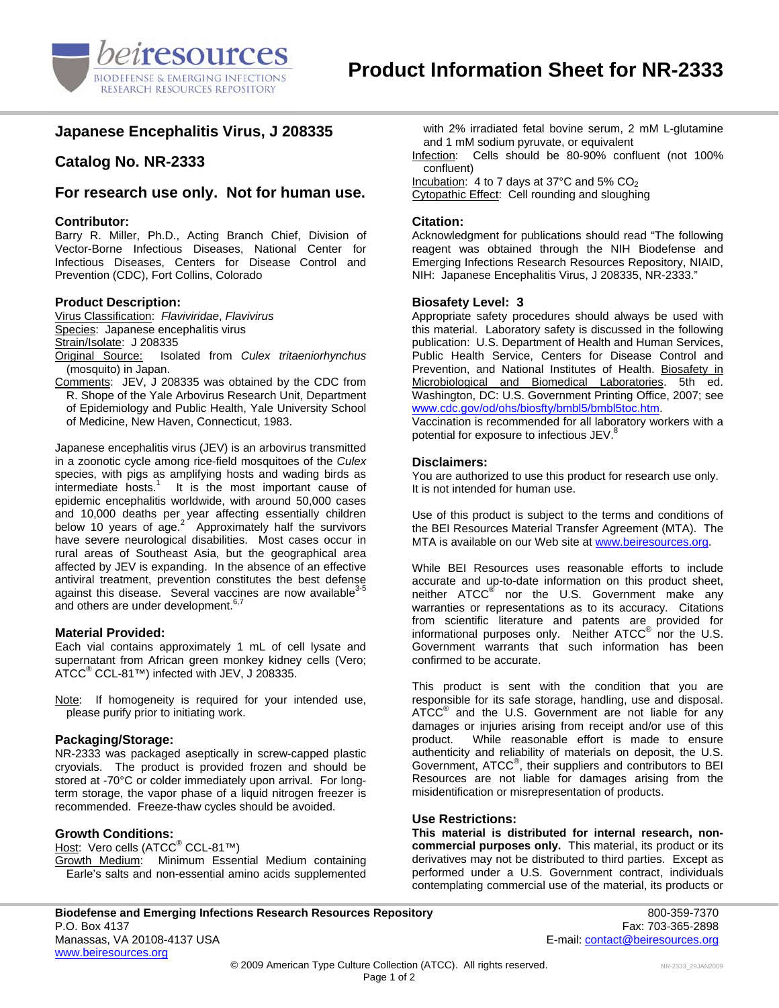

# **Japanese Encephalitis Virus, J 208335**

# **Catalog No. NR-2333**

## **For research use only. Not for human use.**

### **Contributor:**

Barry R. Miller, Ph.D., Acting Branch Chief, Division of Vector-Borne Infectious Diseases, National Center for Infectious Diseases, Centers for Disease Control and Prevention (CDC), Fort Collins, Colorado

### **Product Description:**

Virus Classification: *Flaviviridae*, *Flavivirus*  Species: Japanese encephalitis virus Strain/Isolate: J 208335<br>Original Source: Isola

- Isolated from *Culex tritaeniorhynchus* (mosquito) in Japan.
- Comments: JEV, J 208335 was obtained by the CDC from R. Shope of the Yale Arbovirus Research Unit, Department of Epidemiology and Public Health, Yale University School of Medicine, New Haven, Connecticut, 1983.

Japanese encephalitis virus (JEV) is an arbovirus transmitted in a zoonotic cycle among rice-field mosquitoes of the *Culex* species, with pigs as amplifying hosts and wading birds as intermediate hosts.<sup>1</sup> It is the most important cause of epidemic encephalitis worldwide, with around 50,000 cases and 10,000 deaths per year affecting essentially children below 10 years of age. $2^{2}$  Approximately half the survivors have severe neurological disabilities. Most cases occur in rural areas of Southeast Asia, but the geographical area affected by JEV is expanding. In the absence of an effective antiviral treatment, prevention constitutes the best defense against this disease. Several vaccines are now available<sup>3</sup> and others are under development.<sup>6,7</sup>

#### **Material Provided:**

Each vial contains approximately 1 mL of cell lysate and supernatant from African green monkey kidney cells (Vero;  $\mathsf{ATCC}^\circledast\mathsf{CCL}\text{-}81^{\tau_{\mathsf{M}}})$  infected with JEV, J 208335.

Note: If homogeneity is required for your intended use, please purify prior to initiating work.

## **Packaging/Storage:**

NR-2333 was packaged aseptically in screw-capped plastic cryovials. The product is provided frozen and should be stored at -70°C or colder immediately upon arrival. For longterm storage, the vapor phase of a liquid nitrogen freezer is recommended. Freeze-thaw cycles should be avoided.

## **Growth Conditions:**

<u>Host</u>: Vero cells (ATCC<sup>®</sup> CCL-81™) Growth Medium: Minimum Essential Medium containing Earle's salts and non-essential amino acids supplemented with 2% irradiated fetal bovine serum, 2 mM L-glutamine and 1 mM sodium pyruvate, or equivalent

Infection: Cells should be 80-90% confluent (not 100% confluent)

Incubation: 4 to 7 days at 37 $^{\circ}$ C and 5% CO<sub>2</sub>

Cytopathic Effect: Cell rounding and sloughing

### **Citation:**

Acknowledgment for publications should read "The following reagent was obtained through the NIH Biodefense and Emerging Infections Research Resources Repository, NIAID, NIH: Japanese Encephalitis Virus, J 208335, NR-2333."

### **Biosafety Level: 3**

Appropriate safety procedures should always be used with this material. Laboratory safety is discussed in the following publication: U.S. Department of Health and Human Services, Public Health Service, Centers for Disease Control and Prevention, and National Institutes of Health. Biosafety in Microbiological and Biomedical Laboratories. 5th ed. Washington, DC: U.S. Government Printing Office, 2007; see [www.cdc.gov/od/ohs/biosfty/bmbl5/bmbl5toc.htm.](http://www.cdc.gov/od/ohs/biosfty/bmbl5/bmbl5toc.htm)

Vaccination is recommended for all laboratory workers with a potential for exposure to infectious JEV.<sup>8</sup>

### **Disclaimers:**

You are authorized to use this product for research use only. It is not intended for human use.

Use of this product is subject to the terms and conditions of the BEI Resources Material Transfer Agreement (MTA). The MTA is available on our Web site at [www.beiresources.org](http://www.beiresources.org/).

While BEI Resources uses reasonable efforts to include accurate and up-to-date information on this product sheet, neither ATCC<sup>®</sup> nor the U.S. Government make any warranties or representations as to its accuracy. Citations from scientific literature and patents are provided for informational purposes only. Neither  $\tt{ATCC}^{\circledR}$  nor the U.S. Government warrants that such information has been confirmed to be accurate.

This product is sent with the condition that you are responsible for its safe storage, handling, use and disposal. ATCC<sup>®</sup> and the U.S. Government are not liable for any damages or injuries arising from receipt and/or use of this product. While reasonable effort is made to ensure authenticity and reliability of materials on deposit, the U.S. Government, ATCC<sup>®</sup>, their suppliers and contributors to BEI Resources are not liable for damages arising from the misidentification or misrepresentation of products.

#### **Use Restrictions:**

**This material is distributed for internal research, noncommercial purposes only.** This material, its product or its derivatives may not be distributed to third parties. Except as performed under a U.S. Government contract, individuals contemplating commercial use of the material, its products or